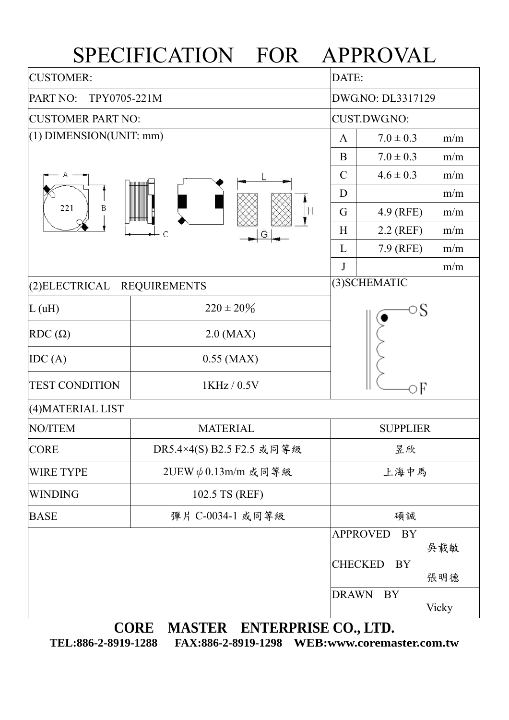## SPECIFICATION FOR APPROVAL

| <b>CUSTOMER:</b>                      | DATE:                     |                 |                              |       |  |  |  |  |  |  |
|---------------------------------------|---------------------------|-----------------|------------------------------|-------|--|--|--|--|--|--|
| PART NO:<br>TPY0705-221M              |                           |                 | DWG.NO: DL3317129            |       |  |  |  |  |  |  |
| <b>CUSTOMER PART NO:</b>              | CUST.DWG.NO:              |                 |                              |       |  |  |  |  |  |  |
| $(1)$ DIMENSION(UNIT: mm)             | $\mathbf{A}$              | $7.0 \pm 0.3$   | m/m                          |       |  |  |  |  |  |  |
|                                       |                           | B               | $7.0 \pm 0.3$                | m/m   |  |  |  |  |  |  |
|                                       | $\mathcal{C}$             | $4.6 \pm 0.3$   | m/m                          |       |  |  |  |  |  |  |
|                                       | D<br>m/m                  |                 |                              |       |  |  |  |  |  |  |
| 221<br>Β                              | G                         | 4.9 (RFE)       | m/m                          |       |  |  |  |  |  |  |
|                                       | H                         | $2.2$ (REF)     | m/m                          |       |  |  |  |  |  |  |
|                                       |                           | L               | 7.9 (RFE)                    | m/m   |  |  |  |  |  |  |
|                                       | $\bf J$                   |                 | m/m                          |       |  |  |  |  |  |  |
| (2) ELECTRICAL<br><b>REQUIREMENTS</b> |                           | (3) SCHEMATIC   |                              |       |  |  |  |  |  |  |
| L(uH)                                 | $220 \pm 20\%$            |                 | ⊃S                           |       |  |  |  |  |  |  |
| $RDC(\Omega)$                         | $2.0$ (MAX)               |                 |                              |       |  |  |  |  |  |  |
| IDC(A)                                | $0.55$ (MAX)              |                 |                              |       |  |  |  |  |  |  |
| <b>TEST CONDITION</b>                 | 1KHz / 0.5V               | эF              |                              |       |  |  |  |  |  |  |
| (4) MATERIAL LIST                     |                           |                 |                              |       |  |  |  |  |  |  |
| NO/ITEM                               | <b>MATERIAL</b>           | <b>SUPPLIER</b> |                              |       |  |  |  |  |  |  |
| <b>CORE</b>                           | DR5.4×4(S) B2.5 F2.5 或同等級 | 昱欣              |                              |       |  |  |  |  |  |  |
| <b>WIRE TYPE</b>                      | $2UEW \phi$ 0.13m/m 或同等級  | 上海中馬            |                              |       |  |  |  |  |  |  |
| <b>WINDING</b>                        | 102.5 TS (REF)            |                 |                              |       |  |  |  |  |  |  |
| <b>BASE</b>                           | 彈片 C-0034-1 或同等級          | 碩誠              |                              |       |  |  |  |  |  |  |
|                                       |                           |                 | <b>APPROVED</b><br><b>BY</b> |       |  |  |  |  |  |  |
|                                       |                           |                 |                              | 吳載敏   |  |  |  |  |  |  |
|                                       |                           |                 | <b>CHECKED</b><br><b>BY</b>  | 張明德   |  |  |  |  |  |  |
|                                       |                           | <b>DRAWN</b>    | <b>BY</b>                    | Vicky |  |  |  |  |  |  |

**CORE MASTER ENTERPRISE CO., LTD.** 

**TEL:886-2-8919-1288 FAX:886-2-8919-1298 WEB:www.coremaster.com.tw**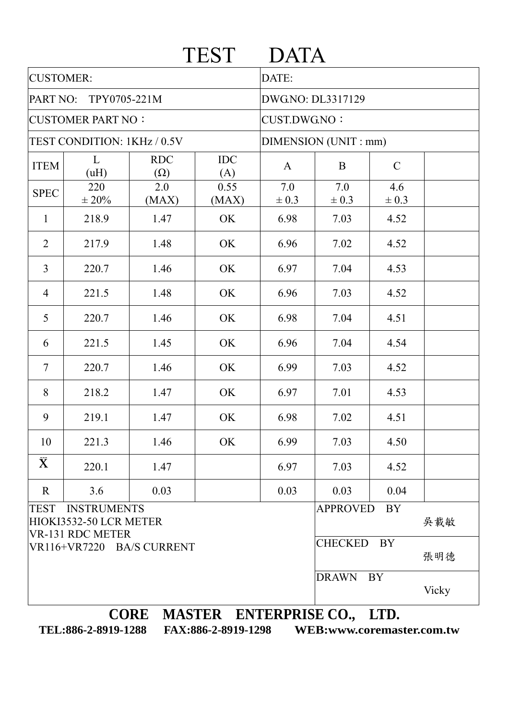|                                                                                        |                   |                          | <b>TEST</b>       | <b>DATA</b>           |                  |                  |       |  |
|----------------------------------------------------------------------------------------|-------------------|--------------------------|-------------------|-----------------------|------------------|------------------|-------|--|
| <b>CUSTOMER:</b>                                                                       |                   |                          |                   | DATE:                 |                  |                  |       |  |
| PART NO:<br>TPY0705-221M                                                               |                   |                          |                   | DWG.NO: DL3317129     |                  |                  |       |  |
| <b>CUSTOMER PART NO:</b>                                                               |                   |                          |                   | <b>CUST.DWG.NO:</b>   |                  |                  |       |  |
| TEST CONDITION: 1KHz / 0.5V                                                            |                   |                          |                   | DIMENSION (UNIT : mm) |                  |                  |       |  |
| <b>ITEM</b>                                                                            | L<br>(uH)         | <b>RDC</b><br>$(\Omega)$ | <b>IDC</b><br>(A) | $\mathbf{A}$          | B                | $\mathcal{C}$    |       |  |
| <b>SPEC</b>                                                                            | 220<br>$\pm 20\%$ | 2.0<br>(MAX)             | 0.55<br>(MAX)     | 7.0<br>$\pm 0.3$      | 7.0<br>$\pm 0.3$ | 4.6<br>$\pm 0.3$ |       |  |
| $\mathbf{1}$                                                                           | 218.9             | 1.47                     | OK                | 6.98                  | 7.03             | 4.52             |       |  |
| $\overline{2}$                                                                         | 217.9             | 1.48                     | OK                | 6.96                  | 7.02             | 4.52             |       |  |
| $\overline{3}$                                                                         | 220.7             | 1.46                     | OK                | 6.97                  | 7.04             | 4.53             |       |  |
| $\overline{4}$                                                                         | 221.5             | 1.48                     | OK                | 6.96                  | 7.03             | 4.52             |       |  |
| 5                                                                                      | 220.7             | 1.46                     | OK                | 6.98                  | 7.04             | 4.51             |       |  |
| 6                                                                                      | 221.5             | 1.45                     | OK                | 6.96                  | 7.04             | 4.54             |       |  |
| $\overline{7}$                                                                         | 220.7             | 1.46                     | OK                | 6.99                  | 7.03             | 4.52             |       |  |
| 8                                                                                      | 218.2             | 1.47                     | OK                | 6.97                  | 7.01             | 4.53             |       |  |
| 9                                                                                      | 219.1             | 1.47                     | OK                | 6.98                  | 7.02             | 4.51             |       |  |
| 10                                                                                     | 221.3             | 1.46                     | OK                | 6.99                  | 7.03             | 4.50             |       |  |
| $\bar{\mathbf{X}}$                                                                     | 220.1             | 1.47                     |                   | 6.97                  | 7.03             | 4.52             |       |  |
| $\mathbf R$                                                                            | 3.6               | 0.03                     |                   | 0.03                  | 0.03             | 0.04             |       |  |
| <b>INSTRUMENTS</b><br><b>TEST</b><br>HIOKI3532-50 LCR METER<br><b>VR-131 RDC METER</b> |                   |                          |                   |                       | <b>APPROVED</b>  | <b>BY</b>        | 吳載敏   |  |
| VR116+VR7220 BA/S CURRENT                                                              |                   |                          |                   |                       | <b>CHECKED</b>   | BY               | 張明德   |  |
|                                                                                        |                   |                          |                   |                       | <b>DRAWN</b>     | BY<br>$r$        | Vicky |  |

**CORE MASTER ENTERPRISE CO., LTD.** 

**TEL:886-2-8919-1288 FAX:886-2-8919-1298 WEB:www.coremaster.com.tw**